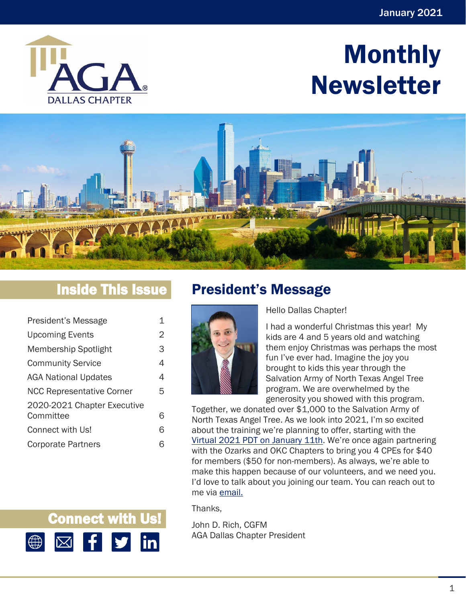

# Monthly Newsletter



# Inside This Issue

| President's Message              |   |
|----------------------------------|---|
| <b>Upcoming Events</b>           | 2 |
| Membership Spotlight             | 3 |
| <b>Community Service</b>         | 4 |
| <b>AGA National Updates</b>      | 4 |
| <b>NCC Representative Corner</b> | 5 |
| 2020-2021 Chapter Executive      |   |
| Committee                        | ൳ |
| Connect with Us!                 | ൳ |
| <b>Corporate Partners</b>        |   |

<span id="page-0-0"></span>

Hello Dallas Chapter!

I had a wonderful Christmas this year! My kids are 4 and 5 years old and watching them enjoy Christmas was perhaps the most fun I've ever had. Imagine the joy you brought to kids this year through the Salvation Army of North Texas Angel Tree program. We are overwhelmed by the generosity you showed with this program.

Together, we donated over \$1,000 to the Salvation Army of North Texas Angel Tree. As we look into 2021, I'm so excited about the training we're planning to offer, starting with the [Virtual 2021 PDT on January 11th.](https://www.eventbrite.com/e/virtual-2021-january-pdt-joint-dallas-okc-and-ozarks-chapters-registration-128038993075) We're once again partnering with the Ozarks and OKC Chapters to bring you 4 CPEs for \$40 for members (\$50 for non-members). As always, we're able to make this happen because of our volunteers, and we need you. I'd love to talk about you joining our team. You can reach out to me via [email.](mailto:mrrich_us@yahoo.com)

Thanks,

John D. Rich, CGFM AGA Dallas Chapter President

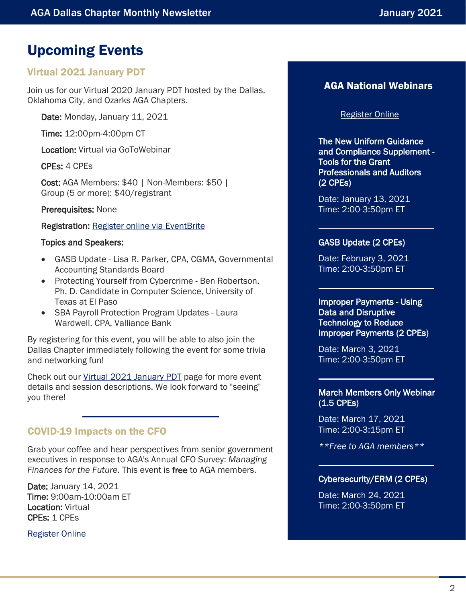# <span id="page-1-0"></span>Upcoming Events

### Virtual 2021 January PDT

Join us for our Virtual 2020 January PDT hosted by the Dallas, Oklahoma City, and Ozarks AGA Chapters.

Date: Monday, January 11, 2021

Time: 12:00pm-4:00pm CT

Location: Virtual via GoToWebinar

CPEs: 4 CPEs

Cost: AGA Members: \$40 | Non-Members: \$50 | Group (5 or more): \$40/registrant

Prerequisites: None

Registration: [Register online via EventBrite](https://joint-virtual-2021-january-pdt.eventbrite.com/)

#### Topics and Speakers:

- GASB Update Lisa R. Parker, CPA, CGMA, Governmental Accounting Standards Board
- Protecting Yourself from Cybercrime Ben Robertson, Ph. D. Candidate in Computer Science, University of Texas at El Paso
- SBA Payroll Protection Program Updates Laura Wardwell, CPA, Valliance Bank

By registering for this event, you will be able to also join the Dallas Chapter immediately following the event for some trivia and networking fun!

Check out our [Virtual 2021 January PDT](https://www.agacgfm.org/Chapters/Dallas-Chapter/Training-Events/Event-Calendar/Virtual-2021-January-PDT.aspx) page for more event details and session descriptions. We look forward to "seeing" you there!

### COVID-19 Impacts on the CFO

Grab your coffee and hear perspectives from senior government executives in response to AGA's Annual CFO Survey: *Managing Finances for the Future*. This event is free to AGA members.

Date: January 14, 2021 Time: 9:00am-10:00am ET Location: Virtual CPEs: 1 CPEs

[Register Online](https://www.agacgfm.org/CFOSurvey/Home.aspx)

### AGA National Webinars

#### [Register Online](https://www.agacgfm.org/webinars.aspx)

The New Uniform Guidance and Compliance Supplement - Tools for the Grant Professionals and Auditors (2 CPEs)

Date: January 13, 2021 Time: 2:00-3:50pm ET

#### GASB Update (2 CPEs)

Date: February 3, 2021 Time: 2:00-3:50pm ET

Improper Payments - Using Data and Disruptive Technology to Reduce Improper Payments (2 CPEs)

Date: March 3, 2021 Time: 2:00-3:50pm ET

#### March Members Only Webinar (1.5 CPEs)

Date: March 17, 2021 Time: 2:00-3:15pm ET

*\*\*Free to AGA members\*\**

#### Cybersecurity/ERM (2 CPEs)

Date: March 24, 2021 Time: 2:00-3:50pm ET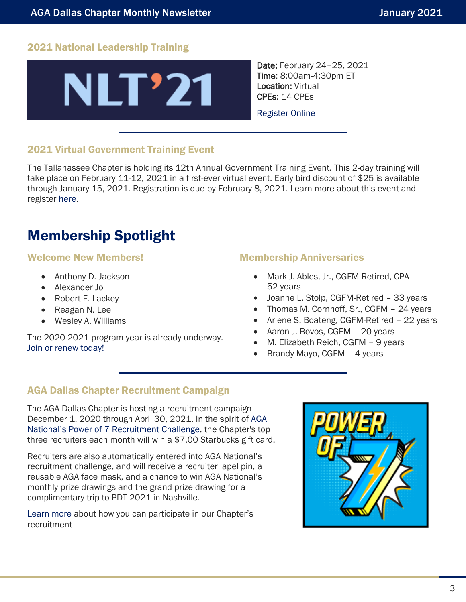### 2021 National Leadership Training



Date: February 24–25, 2021 Time: 8:00am-4:30pm ET Location: Virtual CPEs: 14 CPEs

[Register Online](https://www.agacgfm.org/NLT/NLT-Home.aspx)

### 2021 Virtual Government Training Event

The Tallahassee Chapter is holding its 12th Annual Government Training Event. This 2-day training will take place on February 11-12, 2021 in a first-ever virtual event. Early bird discount of \$25 is available through January 15, 2021. Registration is due by February 8, 2021. Learn more about this event and register [here.](https://www.agacgfm.org/Chapters/Tallahassee-Chapter/Training-Events/Event-Calendar/2021-Virtual-Government-Training-Event.aspx)

# <span id="page-2-0"></span>Membership Spotlight

#### Welcome New Members!

- Anthony D. Jackson
- Alexander Jo
- Robert F. Lackey
- Reagan N. Lee
- Wesley A. Williams

The 2020-2021 program year is already underway. [Join or renew today!](https://www.agacgfm.org/Membership/Learn-About-AGA/Join-or-Renew.aspx)

#### Membership Anniversaries

- Mark J. Ables, Jr., CGFM-Retired, CPA 52 years
- Joanne L. Stolp, CGFM-Retired 33 years
- Thomas M. Cornhoff, Sr., CGFM 24 years
- Arlene S. Boateng, CGFM-Retired 22 years
- Aaron J. Bovos, CGFM 20 years
- M. Elizabeth Reich, CGFM 9 years
- Brandy Mayo, CGFM 4 years

#### AGA Dallas Chapter Recruitment Campaign

The AGA Dallas Chapter is hosting a recruitment campaign December 1, 2020 through April 30, 2021. In the spirit of [AGA](https://www.agacgfm.org/Membership/Connect/Recruit-a-Member.aspx)  [National's Power of 7 Recruitment Challenge](https://www.agacgfm.org/Membership/Connect/Recruit-a-Member.aspx), the Chapter's top three recruiters each month will win a \$7.00 Starbucks gift card.

Recruiters are also automatically entered into AGA National's recruitment challenge, and will receive a recruiter lapel pin, a reusable AGA face mask, and a chance to win AGA National's monthly prize drawings and the grand prize drawing for a complimentary trip to PDT 2021 in Nashville.

[Learn more](https://www.agacgfm.org/Membership/Connect/Recruit-a-Member.aspx) about how you can participate in our Chapter's recruitment

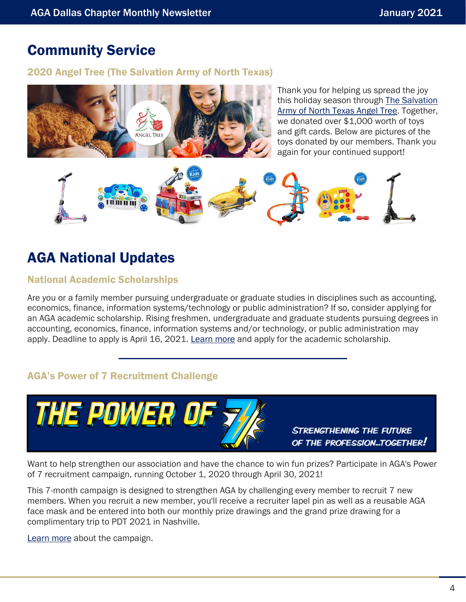### <span id="page-3-0"></span>Community Service

#### 2020 Angel Tree (The Salvation Army of North Texas)



Thank you for helping us spread the joy this holiday season through [The Salvation](https://www.walmart.com/registry/registryforgood/1A82CC51-5A17-47EA-B1DA-406852B2FF85/view)  [Army of North Texas Angel Tree.](https://www.walmart.com/registry/registryforgood/1A82CC51-5A17-47EA-B1DA-406852B2FF85/view) Together, we donated over \$1,000 worth of toys and gift cards. Below are pictures of the toys donated by our members. Thank you again for your continued support!



# <span id="page-3-1"></span>AGA National Updates

#### National Academic Scholarships

Are you or a family member pursuing undergraduate or graduate studies in disciplines such as accounting, economics, finance, information systems/technology or public administration? If so, consider applying for an AGA academic scholarship. Rising freshmen, undergraduate and graduate students pursuing degrees in accounting, economics, finance, information systems and/or technology, or public administration may apply. Deadline to apply is April 16, 2021. [Learn more](https://www.agacgfm.org/Membership/Connect/Awards-Recognition/Scholarships.aspx) and apply for the academic scholarship.

### AGA's Power of 7 Recruitment Challenge



Want to help strengthen our association and have the chance to win fun prizes? Participate in AGA's Power of 7 recruitment campaign, running October 1, 2020 through April 30, 2021!

This 7-month campaign is designed to strengthen AGA by challenging every member to recruit 7 new members. When you recruit a new member, you'll receive a recruiter lapel pin as well as a reusable AGA face mask and be entered into both our monthly prize drawings and the grand prize drawing for a complimentary trip to PDT 2021 in Nashville.

[Learn more](https://www.agacgfm.org/Membership/Connect/Recruit-a-Member.aspx) about the campaign.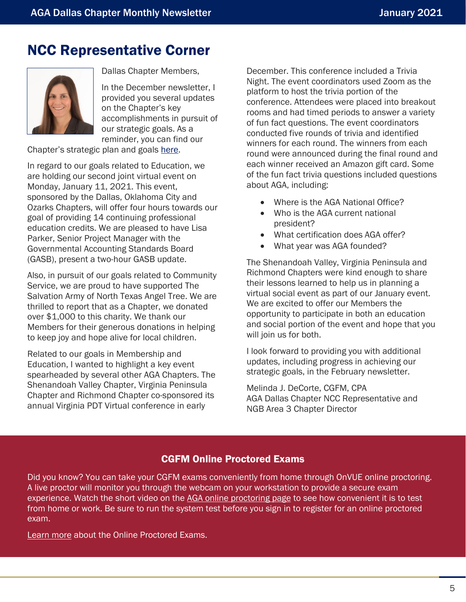### <span id="page-4-0"></span>NCC Representative Corner



Dallas Chapter Members,

In the December newsletter, I provided you several updates on the Chapter's key accomplishments in pursuit of our strategic goals. As a reminder, you can find our

Chapter's strategic plan and goals [here.](https://www.agacgfm.org/CMSSiteImages/Chapters/Chapters/Dallas-Chapter/libraries/files/AGA%20Dallas%20Strategic%20Goals_2020-2021.pdf)

In regard to our goals related to Education, we are holding our second joint virtual event on Monday, January 11, 2021. This event, sponsored by the Dallas, Oklahoma City and Ozarks Chapters, will offer four hours towards our goal of providing 14 continuing professional education credits. We are pleased to have Lisa Parker, Senior Project Manager with the Governmental Accounting Standards Board (GASB), present a two-hour GASB update.

Also, in pursuit of our goals related to Community Service, we are proud to have supported The Salvation Army of North Texas Angel Tree. We are thrilled to report that as a Chapter, we donated over \$1,000 to this charity. We thank our Members for their generous donations in helping to keep joy and hope alive for local children.

Related to our goals in Membership and Education, I wanted to highlight a key event spearheaded by several other AGA Chapters. The Shenandoah Valley Chapter, Virginia Peninsula Chapter and Richmond Chapter co-sponsored its annual Virginia PDT Virtual conference in early

December. This conference included a Trivia Night. The event coordinators used Zoom as the platform to host the trivia portion of the conference. Attendees were placed into breakout rooms and had timed periods to answer a variety of fun fact questions. The event coordinators conducted five rounds of trivia and identified winners for each round. The winners from each round were announced during the final round and each winner received an Amazon gift card. Some of the fun fact trivia questions included questions about AGA, including:

- Where is the AGA National Office?
- Who is the AGA current national president?
- What certification does AGA offer?
- What year was AGA founded?

The Shenandoah Valley, Virginia Peninsula and Richmond Chapters were kind enough to share their lessons learned to help us in planning a virtual social event as part of our January event. We are excited to offer our Members the opportunity to participate in both an education and social portion of the event and hope that you will join us for both.

I look forward to providing you with additional updates, including progress in achieving our strategic goals, in the February newsletter.

Melinda J. DeCorte, CGFM, CPA AGA Dallas Chapter NCC Representative and NGB Area 3 Chapter Director

#### CGFM Online Proctored Exams

Did you know? You can take your CGFM exams conveniently from home through OnVUE online proctoring. A live proctor will monitor you through the webcam on your workstation to provide a secure exam experience. Watch the short video on the [AGA online proctoring page](https://home.pearsonvue.com/aga/onvue) to see how convenient it is to test from home or work. Be sure to run the system test before you sign in to register for an online proctored exam.

[Learn more](https://www.agacgfm.org/CGFM-Certification/Candidates/CGFM-Process/Examinations-Procedures/Online-Exam-Appointment.aspx) about the Online Proctored Exams.